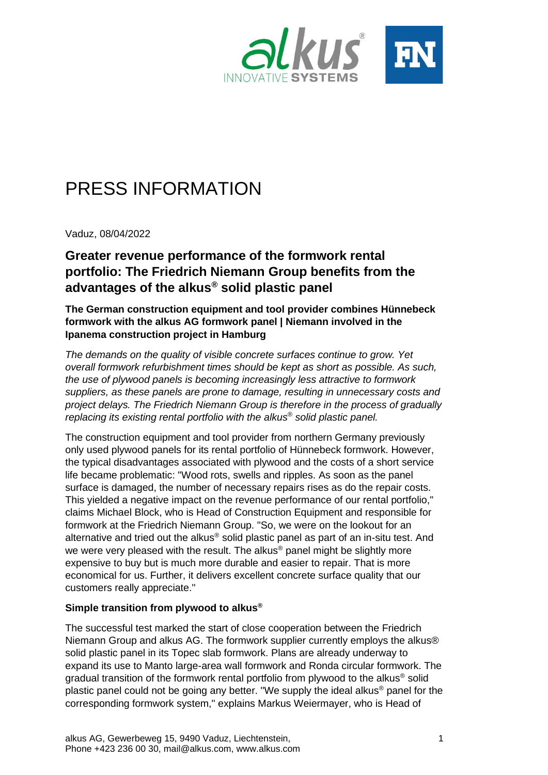

# PRESS INFORMATION

Vaduz, 08/04/2022

# **Greater revenue performance of the formwork rental portfolio: The Friedrich Niemann Group benefits from the advantages of the alkus® solid plastic panel**

**The German construction equipment and tool provider combines Hünnebeck formwork with the alkus AG formwork panel | Niemann involved in the Ipanema construction project in Hamburg**

*The demands on the quality of visible concrete surfaces continue to grow. Yet overall formwork refurbishment times should be kept as short as possible. As such, the use of plywood panels is becoming increasingly less attractive to formwork suppliers, as these panels are prone to damage, resulting in unnecessary costs and project delays. The Friedrich Niemann Group is therefore in the process of gradually replacing its existing rental portfolio with the alkus® solid plastic panel.* 

The construction equipment and tool provider from northern Germany previously only used plywood panels for its rental portfolio of Hünnebeck formwork. However, the typical disadvantages associated with plywood and the costs of a short service life became problematic: "Wood rots, swells and ripples. As soon as the panel surface is damaged, the number of necessary repairs rises as do the repair costs. This yielded a negative impact on the revenue performance of our rental portfolio," claims Michael Block, who is Head of Construction Equipment and responsible for formwork at the Friedrich Niemann Group. "So, we were on the lookout for an alternative and tried out the alkus<sup>®</sup> solid plastic panel as part of an in-situ test. And we were very pleased with the result. The alkus<sup>®</sup> panel might be slightly more expensive to buy but is much more durable and easier to repair. That is more economical for us. Further, it delivers excellent concrete surface quality that our customers really appreciate."

### **Simple transition from plywood to alkus®**

The successful test marked the start of close cooperation between the Friedrich Niemann Group and alkus AG. The formwork supplier currently employs the alkus® solid plastic panel in its Topec slab formwork. Plans are already underway to expand its use to Manto large-area wall formwork and Ronda circular formwork. The gradual transition of the formwork rental portfolio from plywood to the alkus® solid plastic panel could not be going any better. "We supply the ideal alkus® panel for the corresponding formwork system," explains Markus Weiermayer, who is Head of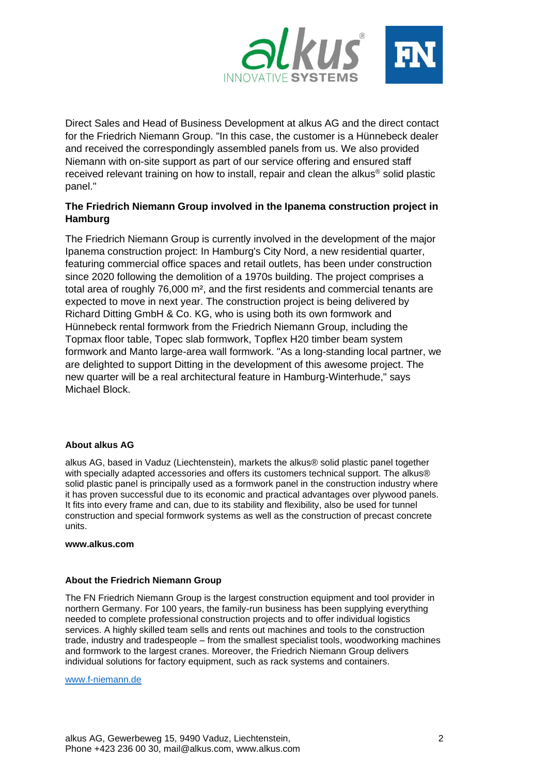

Direct Sales and Head of Business Development at alkus AG and the direct contact for the Friedrich Niemann Group. "In this case, the customer is a Hünnebeck dealer and received the correspondingly assembled panels from us. We also provided Niemann with on-site support as part of our service offering and ensured staff received relevant training on how to install, repair and clean the alkus® solid plastic panel."

# **The Friedrich Niemann Group involved in the Ipanema construction project in Hamburg**

The Friedrich Niemann Group is currently involved in the development of the major Ipanema construction project: In Hamburg's City Nord, a new residential quarter, featuring commercial office spaces and retail outlets, has been under construction since 2020 following the demolition of a 1970s building. The project comprises a total area of roughly 76,000 m², and the first residents and commercial tenants are expected to move in next year. The construction project is being delivered by Richard Ditting GmbH & Co. KG, who is using both its own formwork and Hünnebeck rental formwork from the Friedrich Niemann Group, including the Topmax floor table, Topec slab formwork, Topflex H20 timber beam system formwork and Manto large-area wall formwork. "As a long-standing local partner, we are delighted to support Ditting in the development of this awesome project. The new quarter will be a real architectural feature in Hamburg-Winterhude," says Michael Block.

#### **About alkus AG**

alkus AG, based in Vaduz (Liechtenstein), markets the alkus® solid plastic panel together with specially adapted accessories and offers its customers technical support. The alkus® solid plastic panel is principally used as a formwork panel in the construction industry where it has proven successful due to its economic and practical advantages over plywood panels. It fits into every frame and can, due to its stability and flexibility, also be used for tunnel construction and special formwork systems as well as the construction of precast concrete units.

#### **www.alkus.com**

#### **About the Friedrich Niemann Group**

The FN Friedrich Niemann Group is the largest construction equipment and tool provider in northern Germany. For 100 years, the family-run business has been supplying everything needed to complete professional construction projects and to offer individual logistics services. A highly skilled team sells and rents out machines and tools to the construction trade, industry and tradespeople – from the smallest specialist tools, woodworking machines and formwork to the largest cranes. Moreover, the Friedrich Niemann Group delivers individual solutions for factory equipment, such as rack systems and containers.

[www.f-niemann.de](http://www.f-niemann.de/)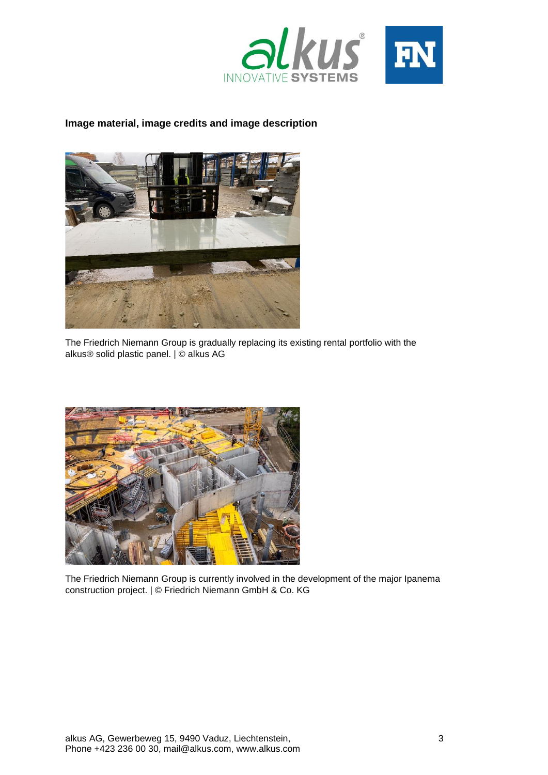

## **Image material, image credits and image description**



The Friedrich Niemann Group is gradually replacing its existing rental portfolio with the alkus® solid plastic panel. | © alkus AG



The Friedrich Niemann Group is currently involved in the development of the major Ipanema construction project. | © Friedrich Niemann GmbH & Co. KG